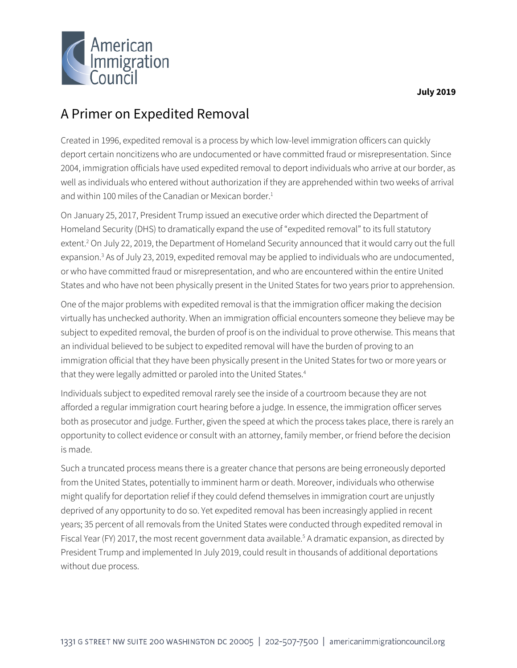

# A Primer on Expedited Removal

Created in 1996, expedited removal is a process by which low-level immigration officers can quickly deport certain noncitizens who are undocumented or have committed fraud or misrepresentation. Since 2004, immigration officials have used expedited removal to deport individuals who arrive at our border, as well as individuals who entered without authorization if they are apprehended within two weeks of arrival and within 100 miles of the Canadian or Mexican border.<sup>1</sup>

On January 25, 2017, President Trump issued an executive order which directed the Department of Homeland Security (DHS) to dramatically expand the use of "expedited removal" to its full statutory extent.<sup>2</sup> On July 22, 2019, the Department of Homeland Security announced that it would carry out the full expansion.<sup>3</sup> As of July 23, 2019, expedited removal may be applied to individuals who are undocumented, or who have committed fraud or misrepresentation, and who are encountered within the entire United States and who have not been physically present in the United States for two years prior to apprehension.

One of the major problems with expedited removal is that the immigration officer making the decision virtually has unchecked authority. When an immigration official encounters someone they believe may be subject to expedited removal, the burden of proof is on the individual to prove otherwise. This means that an individual believed to be subject to expedited removal will have the burden of proving to an immigration official that they have been physically present in the United States for two or more years or that they were legally admitted or paroled into the United States.<sup>4</sup>

Individuals subject to expedited removal rarely see the inside of a courtroom because they are not afforded a regular immigration court hearing before a judge. In essence, the immigration officer serves both as prosecutor and judge. Further, given the speed at which the process takes place, there is rarely an opportunity to collect evidence or consult with an attorney, family member, or friend before the decision is made.

Such a truncated process means there is a greater chance that persons are being erroneously deported from the United States, potentially to imminent harm or death. Moreover, individuals who otherwise might qualify for deportation relief if they could defend themselves in immigration court are unjustly deprived of any opportunity to do so. Yet expedited removal has been increasingly applied in recent years; 35 percent of all removals from the United States were conducted through expedited removal in Fiscal Year (FY) 2017, the most recent government data available. <sup>5</sup> A dramatic expansion, as directed by President Trump and implemented In July 2019, could result in thousands of additional deportations without due process.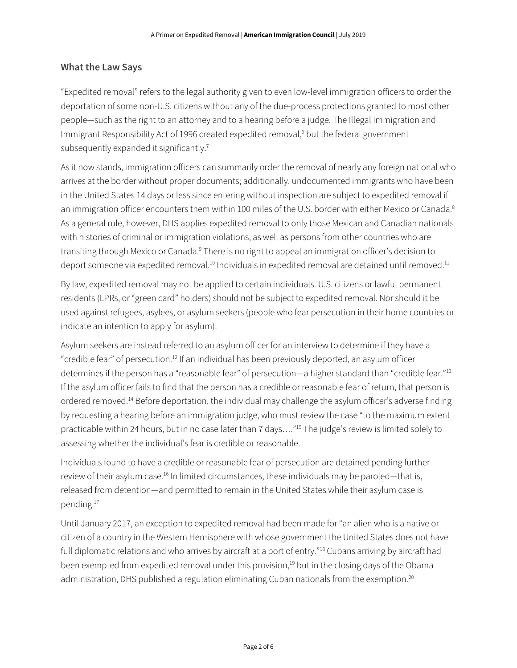### **What the Law Says**

"Expedited removal" refers to the legal authority given to even low-level immigration officers to order the deportation of some non-U.S. citizens without any of the due-process protections granted to most other people—such as the right to an attorney and to a hearing before a judge. The Illegal Immigration and Immigrant Responsibility Act of 1996 created expedited removal, <sup>6</sup> but the federal government subsequently expanded it significantly.<sup>7</sup>

As it now stands, immigration officers can summarily order the removal of nearly any foreign national who arrives at the border without proper documents; additionally, undocumented immigrants who have been in the United States 14 days or less since entering without inspection are subject to expedited removal if an immigration officer encounters them within 100 miles of the U.S. border with either Mexico or Canada.<sup>8</sup> As a general rule, however, DHS applies expedited removal to only those Mexican and Canadian nationals with histories of criminal or immigration violations, as well as persons from other countries who are transiting through Mexico or Canada.<sup>9</sup> There is no right to appeal an immigration officer's decision to deport someone via expedited removal.<sup>10</sup> Individuals in expedited removal are detained until removed.<sup>11</sup>

By law, expedited removal may not be applied to certain individuals. U.S. citizens or lawful permanent residents (LPRs, or "green card" holders) should not be subject to expedited removal. Nor should it be used against refugees, asylees, or asylum seekers (people who fear persecution in their home countries or indicate an intention to apply for asylum).

Asylum seekers are instead referred to an asylum officer for an interview to determine if they have a "credible fear" of persecution. <sup>12</sup> If an individual has been previously deported, an asylum officer determines if the person has a "reasonable fear" of persecution—a higher standard than "credible fear."<sup>13</sup> If the asylum officer fails to find that the person has a credible or reasonable fear of return, that person is ordered removed.<sup>14</sup> Before deportation, the individual may challenge the asylum officer's adverse finding by requesting a hearing before an immigration judge, who must review the case "to the maximum extent practicable within 24 hours, but in no case later than 7 days…."<sup>15</sup> The judge's review is limited solely to assessing whether the individual's fear is credible or reasonable.

Individuals found to have a credible or reasonable fear of persecution are detained pending further review of their asylum case.<sup>16</sup> In limited circumstances, these individuals may be paroled—that is, released from detention—and permitted to remain in the United States while their asylum case is pending. 17

Until January 2017, an exception to expedited removal had been made for "an alien who is a native or citizen of a country in the Western Hemisphere with whose government the United States does not have full diplomatic relations and who arrives by aircraft at a port of entry."<sup>18</sup> Cubans arriving by aircraft had been exempted from expedited removal under this provision, <sup>19</sup> but in the closing days of the Obama administration, DHS published a regulation eliminating Cuban nationals from the exemption.<sup>20</sup>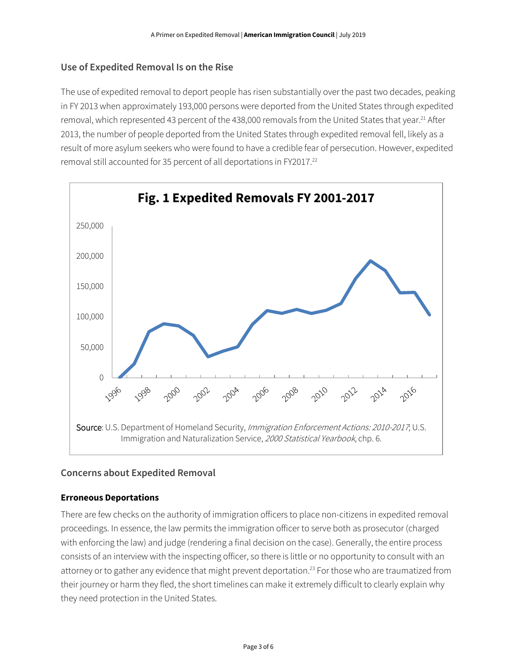## **Use of Expedited Removal Is on the Rise**

The use of expedited removal to deport people has risen substantially over the past two decades, peaking in FY 2013 when approximately 193,000 persons were deported from the United States through expedited removal, which represented 43 percent of the 438,000 removals from the United States that year.<sup>21</sup> After 2013, the number of people deported from the United States through expedited removal fell, likely as a result of more asylum seekers who were found to have a credible fear of persecution. However, expedited removal still accounted for 35 percent of all deportations in FY2017.<sup>22</sup>



## **Concerns about Expedited Removal**

#### **Erroneous Deportations**

There are few checks on the authority of immigration officers to place non-citizens in expedited removal proceedings. In essence, the law permits the immigration officer to serve both as prosecutor (charged with enforcing the law) and judge (rendering a final decision on the case). Generally, the entire process consists of an interview with the inspecting officer, so there is little or no opportunity to consult with an attorney or to gather any evidence that might prevent deportation.<sup>23</sup> For those who are traumatized from their journey or harm they fled, the short timelines can make it extremely difficult to clearly explain why they need protection in the United States.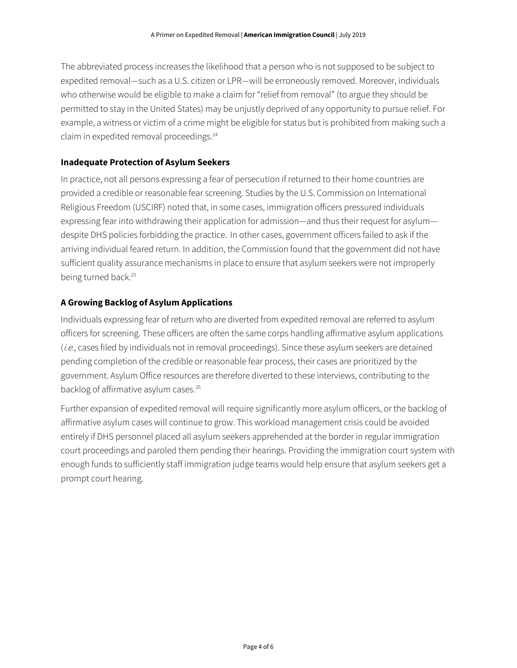The abbreviated process increases the likelihood that a person who is not supposed to be subject to expedited removal—such as a U.S. citizen or LPR—will be erroneously removed. Moreover, individuals who otherwise would be eligible to make a claim for "relief from removal" (to argue they should be permitted to stay in the United States) may be unjustly deprived of any opportunity to pursue relief. For example, a witness or victim of a crime might be eligible for status but is prohibited from making such a claim in expedited removal proceedings. 24

#### **Inadequate Protection of Asylum Seekers**

In practice, not all persons expressing a fear of persecution if returned to their home countries are provided a credible or reasonable fear screening. Studies by the U.S. Commission on International Religious Freedom (USCIRF) noted that, in some cases, immigration officers pressured individuals expressing fear into withdrawing their application for admission—and thus their request for asylum despite DHS policies forbidding the practice. In other cases, government officers failed to ask if the arriving individual feared return. In addition, the Commission found that the government did not have sufficient quality assurance mechanisms in place to ensure that asylum seekers were not improperly being turned back.<sup>25</sup>

#### **A Growing Backlog of Asylum Applications**

Individuals expressing fear of return who are diverted from expedited removal are referred to asylum officers for screening. These officers are often the same corps handling affirmative asylum applications (*i.e.*, cases filed by individuals not in removal proceedings). Since these asylum seekers are detained pending completion of the credible or reasonable fear process, their cases are prioritized by the government. Asylum Office resources are therefore diverted to these interviews, contributing to the backlog of affirmative asylum cases.<sup>26</sup>

Further expansion of expedited removal will require significantly more asylum officers, or the backlog of affirmative asylum cases will continue to grow. This workload management crisis could be avoided entirely if DHS personnel placed all asylum seekers apprehended at the border in regular immigration court proceedings and paroled them pending their hearings. Providing the immigration court system with enough funds to sufficiently staff immigration judge teams would help ensure that asylum seekers get a prompt court hearing.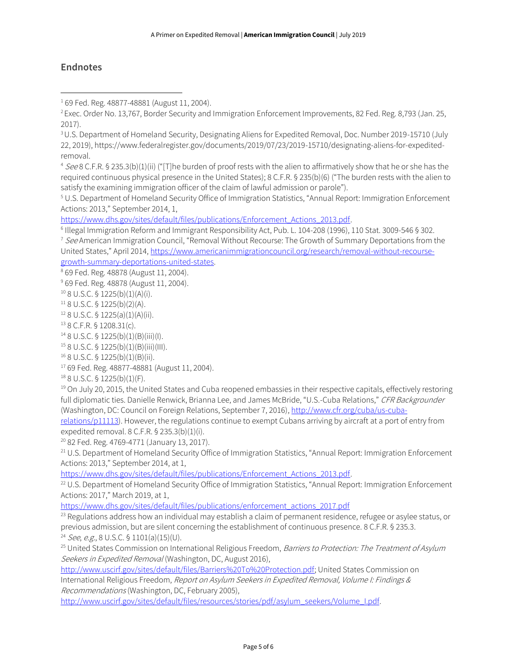## **Endnotes**

 $\overline{\phantom{a}}$ 

<sup>4</sup> See 8 C.F.R. § 235.3(b)(1)(ii) ("[T]he burden of proof rests with the alien to affirmatively show that he or she has the required continuous physical presence in the United States); 8 C.F.R. § 235(b)(6) ("The burden rests with the alien to satisfy the examining immigration officer of the claim of lawful admission or parole").

<sup>5</sup> U.S. Department of Homeland Security Office of Immigration Statistics, "Annual Report: Immigration Enforcement Actions: 2013," September 2014, 1,

[https://www.dhs.gov/sites/default/files/publications/Enforcement\\_Actions\\_2013.pdf.](https://www.dhs.gov/sites/default/files/publications/Enforcement_Actions_2013.pdf)

6 Illegal Immigration Reform and Immigrant Responsibility Act, Pub. L. 104-208 (1996), 110 Stat. 3009-546 § 302.

<sup>7</sup> See American Immigration Council, "Removal Without Recourse: The Growth of Summary Deportations from the United States," April 2014[, https://www.americanimmigrationcouncil.org/research/removal-without-recourse](https://www.americanimmigrationcouncil.org/research/removal-without-recourse-growth-summary-deportations-united-states)[growth-summary-deportations-united-states.](https://www.americanimmigrationcouncil.org/research/removal-without-recourse-growth-summary-deportations-united-states) 

<sup>8</sup> 69 Fed. Reg. 48878 (August 11, 2004).

<sup>9</sup> 69 Fed. Reg. 48878 (August 11, 2004).

 $10$  8 U.S.C. § 1225(b)(1)(A)(i).

 $118$  U.S.C. § 1225(b)(2)(A).

 $12$  8 U.S.C. § 1225(a)(1)(A)(ii).

<sup>13</sup> 8 C.F.R. § 1208.31(c).

<sup>14</sup> 8 U.S.C. § 1225(b)(1)(B)(iii)(I).

 $158$  U.S.C. § 1225(b)(1)(B)(iii)(III).

<sup>16</sup> 8 U.S.C. § 1225(b)(1)(B)(ii).

<sup>17</sup> 69 Fed. Reg. 48877-48881 (August 11, 2004).

<sup>18</sup> 8 U.S.C. § 1225(b)(1)(F).

 $19$  On July 20, 2015, the United States and Cuba reopened embassies in their respective capitals, effectively restoring full diplomatic ties. Danielle Renwick, Brianna Lee, and James McBride, "U.S.-Cuba Relations," CFR Backgrounder (Washington, DC: Council on Foreign Relations, September 7, 2016), [http://www.cfr.org/cuba/us-cuba-](http://www.cfr.org/cuba/us-cuba-relations/p11113)

[relations/p11113\)](http://www.cfr.org/cuba/us-cuba-relations/p11113). However, the regulations continue to exempt Cubans arriving by aircraft at a port of entry from expedited removal. 8 C.F.R. § 235.3(b)(1)(i).

<sup>20</sup> 82 Fed. Reg. 4769-4771 (January 13, 2017).

<sup>21</sup> U.S. Department of Homeland Security Office of Immigration Statistics, "Annual Report: Immigration Enforcement Actions: 2013," September 2014, at 1,

[https://www.dhs.gov/sites/default/files/publications/Enforcement\\_Actions\\_2013.pdf.](https://www.dhs.gov/sites/default/files/publications/Enforcement_Actions_2013.pdf)

<sup>22</sup> U.S. Department of Homeland Security Office of Immigration Statistics, "Annual Report: Immigration Enforcement Actions: 2017," March 2019, at 1,

[https://www.dhs.gov/sites/default/files/publications/enforcement\\_actions\\_2017.pdf](https://www.dhs.gov/sites/default/files/publications/enforcement_actions_2017.pdf)

 $23$  Regulations address how an individual may establish a claim of permanent residence, refugee or asylee status, or previous admission, but are silent concerning the establishment of continuous presence. 8 C.F.R. § 235.3.  $24$  See, e.g., 8 U.S.C. § 1101(a)(15)(U).

<sup>25</sup> United States Commission on International Religious Freedom, *Barriers to Protection: The Treatment of Asylum* Seekers in Expedited Removal (Washington, DC, August 2016),

[http://www.uscirf.gov/sites/default/files/Barriers%20To%20Protection.pdf;](http://www.uscirf.gov/sites/default/files/Barriers%20To%20Protection.pdf) United States Commission on International Religious Freedom, Report on Asylum Seekers in Expedited Removal, Volume I: Findings & Recommendations (Washington, DC, February 2005),

[http://www.uscirf.gov/sites/default/files/resources/stories/pdf/asylum\\_seekers/Volume\\_I.pdf.](http://www.uscirf.gov/sites/default/files/resources/stories/pdf/asylum_seekers/Volume_I.pdf)

<sup>1</sup> 69 Fed. Reg. 48877-48881 (August 11, 2004).

<sup>&</sup>lt;sup>2</sup> Exec. Order No. 13,767, Border Security and Immigration Enforcement Improvements, 82 Fed. Reg. 8,793 (Jan. 25, 2017).

<sup>3</sup>U.S. Department of Homeland Security, Designating Aliens for Expedited Removal, Doc. Number 2019-15710 (July 22, 2019), [https://www.federalregister.gov/documents/2019/07/23/2019-15710/designating-aliens-for-expedited](https://www.federalregister.gov/documents/2019/07/23/2019-15710/designating-aliens-for-expedited-removal)[removal.](https://www.federalregister.gov/documents/2019/07/23/2019-15710/designating-aliens-for-expedited-removal)